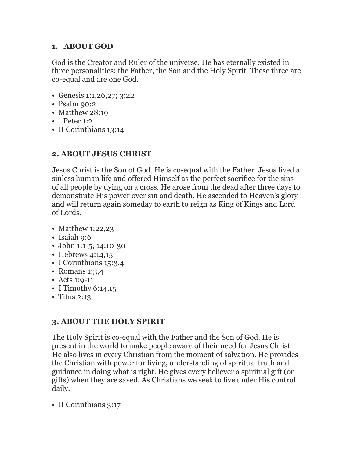### **1. ABOUT GOD**

God is the Creator and Ruler of the universe. He has eternally existed in three personalities: the Father, the Son and the Holy Spirit. These three are co-equal and are one God.

- Genesis 1:1,26,27; 3:22
- Psalm 90:2
- Matthew 28:19
- 1 Peter 1:2
- II Corinthians 13:14

# **2. ABOUT JESUS CHRIST**

Jesus Christ is the Son of God. He is co-equal with the Father. Jesus lived a sinless human life and offered Himself as the perfect sacrifice for the sins of all people by dying on a cross. He arose from the dead after three days to demonstrate His power over sin and death. He ascended to Heaven's glory and will return again someday to earth to reign as King of Kings and Lord of Lords.

- Matthew 1:22,23
- Isaiah 9:6
- John 1:1-5, 14:10-30
- Hebrews 4:14,15
- I Corinthians 15:3,4
- Romans 1:3,4
- Acts 1:9-11
- I Timothy 6:14,15
- Titus 2:13

# **3. ABOUT THE HOLY SPIRIT**

The Holy Spirit is co-equal with the Father and the Son of God. He is present in the world to make people aware of their need for Jesus Christ. He also lives in every Christian from the moment of salvation. He provides the Christian with power for living, understanding of spiritual truth and guidance in doing what is right. He gives every believer a spiritual gift (or gifts) when they are saved. As Christians we seek to live under His control daily.

• II Corinthians 3:17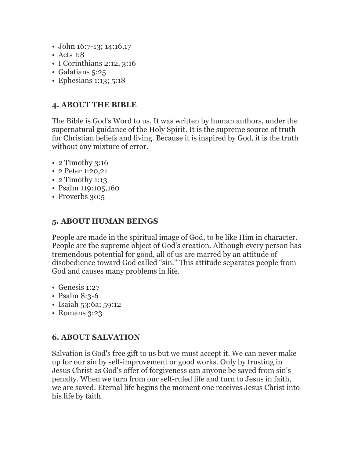- John 16:7-13; 14:16,17
- Acts 1:8
- I Corinthians 2:12, 3:16
- Galatians 5:25
- Ephesians 1:13; 5:18

## **4. ABOUT THE BIBLE**

The Bible is God's Word to us. It was written by human authors, under the supernatural guidance of the Holy Spirit. It is the supreme source of truth for Christian beliefs and living. Because it is inspired by God, it is the truth without any mixture of error.

- 2 Timothy 3:16
- 2 Peter 1:20,21
- 2 Timothy 1:13
- Psalm 119:105,160
- Proverbs 30:5

### **5. ABOUT HUMAN BEINGS**

People are made in the spiritual image of God, to be like Him in character. People are the supreme object of God's creation. Although every person has tremendous potential for good, all of us are marred by an attitude of disobedience toward God called "sin." This attitude separates people from God and causes many problems in life.

- Genesis 1:27
- Psalm 8:3-6
- Isaiah 53:6a; 59:12
- Romans 3:23

#### **6. ABOUT SALVATION**

Salvation is God's free gift to us but we must accept it. We can never make up for our sin by self-improvement or good works. Only by trusting in Jesus Christ as God's offer of forgiveness can anyone be saved from sin's penalty. When we turn from our self-ruled life and turn to Jesus in faith, we are saved. Eternal life begins the moment one receives Jesus Christ into his life by faith.